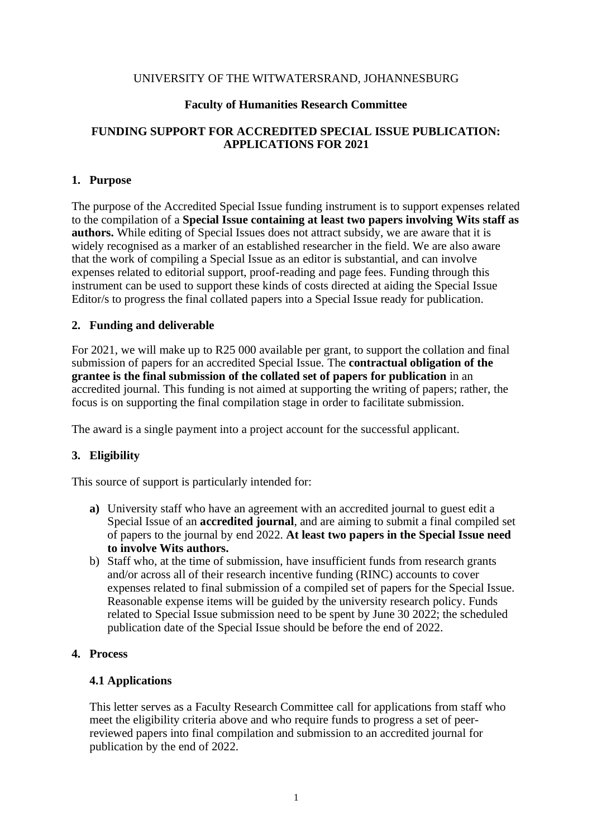#### UNIVERSITY OF THE WITWATERSRAND, JOHANNESBURG

#### **Faculty of Humanities Research Committee**

## **FUNDING SUPPORT FOR ACCREDITED SPECIAL ISSUE PUBLICATION: APPLICATIONS FOR 2021**

### **1. Purpose**

The purpose of the Accredited Special Issue funding instrument is to support expenses related to the compilation of a **Special Issue containing at least two papers involving Wits staff as authors.** While editing of Special Issues does not attract subsidy, we are aware that it is widely recognised as a marker of an established researcher in the field. We are also aware that the work of compiling a Special Issue as an editor is substantial, and can involve expenses related to editorial support, proof-reading and page fees. Funding through this instrument can be used to support these kinds of costs directed at aiding the Special Issue Editor/s to progress the final collated papers into a Special Issue ready for publication.

### **2. Funding and deliverable**

For 2021, we will make up to R25 000 available per grant, to support the collation and final submission of papers for an accredited Special Issue. The **contractual obligation of the grantee is the final submission of the collated set of papers for publication** in an accredited journal. This funding is not aimed at supporting the writing of papers; rather, the focus is on supporting the final compilation stage in order to facilitate submission.

The award is a single payment into a project account for the successful applicant.

### **3. Eligibility**

This source of support is particularly intended for:

- **a)** University staff who have an agreement with an accredited journal to guest edit a Special Issue of an **accredited journal**, and are aiming to submit a final compiled set of papers to the journal by end 2022. **At least two papers in the Special Issue need to involve Wits authors.**
- b) Staff who, at the time of submission, have insufficient funds from research grants and/or across all of their research incentive funding (RINC) accounts to cover expenses related to final submission of a compiled set of papers for the Special Issue. Reasonable expense items will be guided by the university research policy. Funds related to Special Issue submission need to be spent by June 30 2022; the scheduled publication date of the Special Issue should be before the end of 2022.

### **4. Process**

### **4.1 Applications**

This letter serves as a Faculty Research Committee call for applications from staff who meet the eligibility criteria above and who require funds to progress a set of peerreviewed papers into final compilation and submission to an accredited journal for publication by the end of 2022.